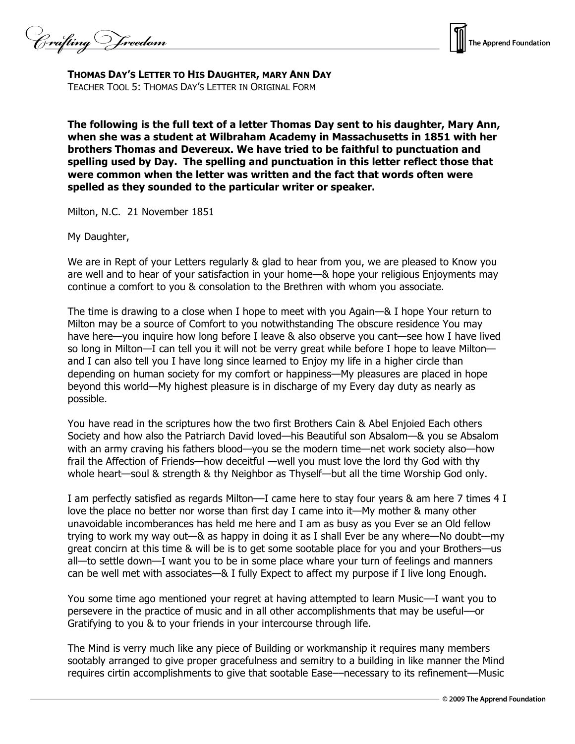Crafting V freedom



**THOMAS DAY'S LETTER TO HIS DAUGHTER, MARY ANN DAY**  TEACHER TOOL 5: THOMAS DAY'S LETTER IN ORIGINAL FORM

**The following is the full text of a letter Thomas Day sent to his daughter, Mary Ann, when she was a student at Wilbraham Academy in Massachusetts in 1851 with her brothers Thomas and Devereux. We have tried to be faithful to punctuation and spelling used by Day. The spelling and punctuation in this letter reflect those that were common when the letter was written and the fact that words often were spelled as they sounded to the particular writer or speaker.** 

Milton, N.C. 21 November 1851

My Daughter,

We are in Rept of your Letters regularly & glad to hear from you, we are pleased to Know you are well and to hear of your satisfaction in your home—& hope your religious Enjoyments may continue a comfort to you & consolation to the Brethren with whom you associate.

The time is drawing to a close when I hope to meet with you Again—& I hope Your return to Milton may be a source of Comfort to you notwithstanding The obscure residence You may have here—you inquire how long before I leave & also observe you cant—see how I have lived so long in Milton—I can tell you it will not be verry great while before I hope to leave Milton and I can also tell you I have long since learned to Enjoy my life in a higher circle than depending on human society for my comfort or happiness—My pleasures are placed in hope beyond this world—My highest pleasure is in discharge of my Every day duty as nearly as possible.

You have read in the scriptures how the two first Brothers Cain & Abel Enjoied Each others Society and how also the Patriarch David loved—his Beautiful son Absalom—& you se Absalom with an army craving his fathers blood—you se the modern time—net work society also—how frail the Affection of Friends—how deceitful —well you must love the lord thy God with thy whole heart—soul & strength & thy Neighbor as Thyself—but all the time Worship God only.

I am perfectly satisfied as regards Milton––I came here to stay four years & am here 7 times 4 I love the place no better nor worse than first day I came into it—My mother & many other unavoidable incomberances has held me here and I am as busy as you Ever se an Old fellow trying to work my way out—& as happy in doing it as I shall Ever be any where—No doubt—my great concirn at this time & will be is to get some sootable place for you and your Brothers—us all—to settle down—I want you to be in some place whare your turn of feelings and manners can be well met with associates—& I fully Expect to affect my purpose if I live long Enough.

You some time ago mentioned your regret at having attempted to learn Music––I want you to persevere in the practice of music and in all other accomplishments that may be useful––or Gratifying to you & to your friends in your intercourse through life.

The Mind is verry much like any piece of Building or workmanship it requires many members sootably arranged to give proper gracefulness and semitry to a building in like manner the Mind requires cirtin accomplishments to give that sootable Ease––necessary to its refinement––Music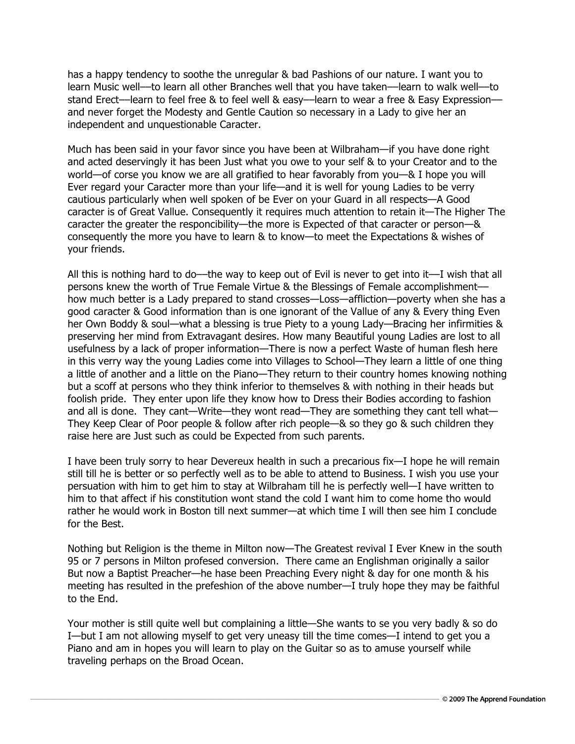has a happy tendency to soothe the unregular & bad Pashions of our nature. I want you to learn Music well––to learn all other Branches well that you have taken––learn to walk well––to stand Erect––learn to feel free & to feel well & easy––learn to wear a free & Easy Expression–– and never forget the Modesty and Gentle Caution so necessary in a Lady to give her an independent and unquestionable Caracter.

Much has been said in your favor since you have been at Wilbraham—if you have done right and acted deservingly it has been Just what you owe to your self & to your Creator and to the world—of corse you know we are all gratified to hear favorably from you—& I hope you will Ever regard your Caracter more than your life—and it is well for young Ladies to be verry cautious particularly when well spoken of be Ever on your Guard in all respects—A Good caracter is of Great Vallue. Consequently it requires much attention to retain it—The Higher The caracter the greater the responcibility—the more is Expected of that caracter or person—& consequently the more you have to learn & to know—to meet the Expectations & wishes of your friends.

All this is nothing hard to do––the way to keep out of Evil is never to get into it––I wish that all persons knew the worth of True Female Virtue & the Blessings of Female accomplishment–– how much better is a Lady prepared to stand crosses—Loss—affliction—poverty when she has a good caracter & Good information than is one ignorant of the Vallue of any & Every thing Even her Own Boddy & soul—what a blessing is true Piety to a young Lady—Bracing her infirmities & preserving her mind from Extravagant desires. How many Beautiful young Ladies are lost to all usefulness by a lack of proper information—There is now a perfect Waste of human flesh here in this verry way the young Ladies come into Villages to School—They learn a little of one thing a little of another and a little on the Piano—They return to their country homes knowing nothing but a scoff at persons who they think inferior to themselves & with nothing in their heads but foolish pride. They enter upon life they know how to Dress their Bodies according to fashion and all is done. They cant—Write—they wont read—They are something they cant tell what— They Keep Clear of Poor people & follow after rich people—& so they go & such children they raise here are Just such as could be Expected from such parents.

I have been truly sorry to hear Devereux health in such a precarious fix—I hope he will remain still till he is better or so perfectly well as to be able to attend to Business. I wish you use your persuation with him to get him to stay at Wilbraham till he is perfectly well—I have written to him to that affect if his constitution wont stand the cold I want him to come home tho would rather he would work in Boston till next summer—at which time I will then see him I conclude for the Best.

Nothing but Religion is the theme in Milton now—The Greatest revival I Ever Knew in the south 95 or 7 persons in Milton profesed conversion. There came an Englishman originally a sailor But now a Baptist Preacher—he hase been Preaching Every night & day for one month & his meeting has resulted in the prefeshion of the above number—I truly hope they may be faithful to the End.

Your mother is still quite well but complaining a little—She wants to se you very badly & so do I—but I am not allowing myself to get very uneasy till the time comes—I intend to get you a Piano and am in hopes you will learn to play on the Guitar so as to amuse yourself while traveling perhaps on the Broad Ocean.